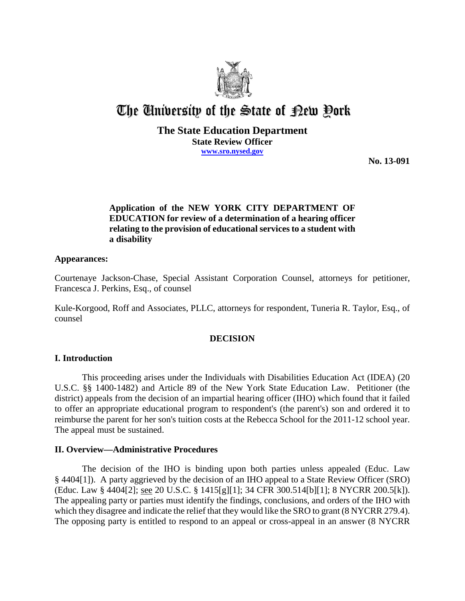

# The University of the State of Pew Pork

## **The State Education Department State Review Officer www.sro.nysed.gov**

**No. 13-091**

# **Application of the NEW YORK CITY DEPARTMENT OF EDUCATION for review of a determination of a hearing officer relating to the provision of educational services to a student with a disability**

#### **Appearances:**

Courtenaye Jackson-Chase, Special Assistant Corporation Counsel, attorneys for petitioner, Francesca J. Perkins, Esq., of counsel

Kule-Korgood, Roff and Associates, PLLC, attorneys for respondent, Tuneria R. Taylor, Esq., of counsel

#### **DECISION**

#### **I. Introduction**

This proceeding arises under the Individuals with Disabilities Education Act (IDEA) (20 U.S.C. §§ 1400-1482) and Article 89 of the New York State Education Law. Petitioner (the district) appeals from the decision of an impartial hearing officer (IHO) which found that it failed to offer an appropriate educational program to respondent's (the parent's) son and ordered it to reimburse the parent for her son's tuition costs at the Rebecca School for the 2011-12 school year. The appeal must be sustained.

#### **II. Overview—Administrative Procedures**

The decision of the IHO is binding upon both parties unless appealed (Educ. Law § 4404[1]). A party aggrieved by the decision of an IHO appeal to a State Review Officer (SRO) (Educ. Law § 4404[2]; see 20 U.S.C. § 1415[g][1]; 34 CFR 300.514[b][1]; 8 NYCRR 200.5[k]). The appealing party or parties must identify the findings, conclusions, and orders of the IHO with which they disagree and indicate the relief that they would like the SRO to grant (8 NYCRR 279.4). The opposing party is entitled to respond to an appeal or cross-appeal in an answer (8 NYCRR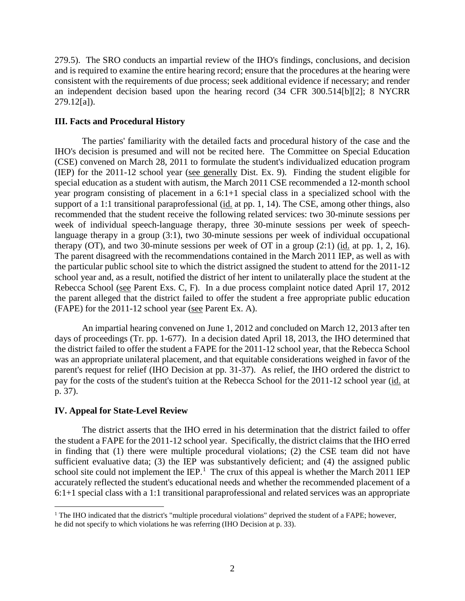279.5). The SRO conducts an impartial review of the IHO's findings, conclusions, and decision and is required to examine the entire hearing record; ensure that the procedures at the hearing were consistent with the requirements of due process; seek additional evidence if necessary; and render an independent decision based upon the hearing record (34 CFR 300.514[b][2]; 8 NYCRR 279.12[a]).

## **III. Facts and Procedural History**

The parties' familiarity with the detailed facts and procedural history of the case and the IHO's decision is presumed and will not be recited here. The Committee on Special Education (CSE) convened on March 28, 2011 to formulate the student's individualized education program (IEP) for the 2011-12 school year (see generally Dist. Ex. 9). Finding the student eligible for special education as a student with autism, the March 2011 CSE recommended a 12-month school year program consisting of placement in a 6:1+1 special class in a specialized school with the support of a 1:1 transitional paraprofessional (id. at pp. 1, 14). The CSE, among other things, also recommended that the student receive the following related services: two 30-minute sessions per week of individual speech-language therapy, three 30-minute sessions per week of speechlanguage therapy in a group (3:1), two 30-minute sessions per week of individual occupational therapy (OT), and two 30-minute sessions per week of OT in a group  $(2:1)$  (id. at pp. 1, 2, 16). The parent disagreed with the recommendations contained in the March 2011 IEP, as well as with the particular public school site to which the district assigned the student to attend for the 2011-12 school year and, as a result, notified the district of her intent to unilaterally place the student at the Rebecca School (see Parent Exs. C, F). In a due process complaint notice dated April 17, 2012 the parent alleged that the district failed to offer the student a free appropriate public education (FAPE) for the 2011-12 school year (see Parent Ex. A).

An impartial hearing convened on June 1, 2012 and concluded on March 12, 2013 after ten days of proceedings (Tr. pp. 1-677). In a decision dated April 18, 2013, the IHO determined that the district failed to offer the student a FAPE for the 2011-12 school year, that the Rebecca School was an appropriate unilateral placement, and that equitable considerations weighed in favor of the parent's request for relief (IHO Decision at pp. 31-37). As relief, the IHO ordered the district to pay for the costs of the student's tuition at the Rebecca School for the 2011-12 school year (id. at p. 37).

# **IV. Appeal for State-Level Review**

The district asserts that the IHO erred in his determination that the district failed to offer the student a FAPE for the 2011-12 school year. Specifically, the district claims that the IHO erred in finding that (1) there were multiple procedural violations; (2) the CSE team did not have sufficient evaluative data; (3) the IEP was substantively deficient; and (4) the assigned public school site could not implement the  $I\!E\!P$ <sup>1</sup>. The crux of this appeal is whether the March 2011 IEP accurately reflected the student's educational needs and whether the recommended placement of a 6:1+1 special class with a 1:1 transitional paraprofessional and related services was an appropriate

 $1$  The IHO indicated that the district's "multiple procedural violations" deprived the student of a FAPE; however, he did not specify to which violations he was referring (IHO Decision at p. 33).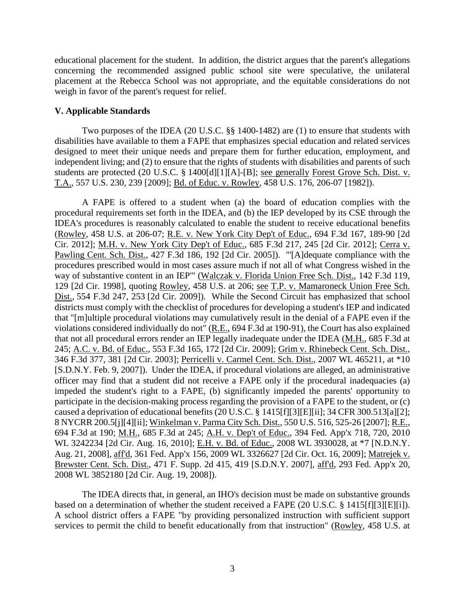educational placement for the student. In addition, the district argues that the parent's allegations concerning the recommended assigned public school site were speculative, the unilateral placement at the Rebecca School was not appropriate, and the equitable considerations do not weigh in favor of the parent's request for relief.

### **V. Applicable Standards**

Two purposes of the IDEA (20 U.S.C. §§ 1400-1482) are (1) to ensure that students with disabilities have available to them a FAPE that emphasizes special education and related services designed to meet their unique needs and prepare them for further education, employment, and independent living; and (2) to ensure that the rights of students with disabilities and parents of such students are protected (20 U.S.C. § 1400[d][1][A]-[B]; see generally Forest Grove Sch. Dist. v. T.A., 557 U.S. 230, 239 [2009]; Bd. of Educ. v. Rowley, 458 U.S. 176, 206-07 [1982]).

A FAPE is offered to a student when (a) the board of education complies with the procedural requirements set forth in the IDEA, and (b) the IEP developed by its CSE through the IDEA's procedures is reasonably calculated to enable the student to receive educational benefits (Rowley, 458 U.S. at 206-07; R.E. v. New York City Dep't of Educ., 694 F.3d 167, 189-90 [2d Cir. 2012]; M.H. v. New York City Dep't of Educ., 685 F.3d 217, 245 [2d Cir. 2012]; Cerra v. Pawling Cent. Sch. Dist., 427 F.3d 186, 192 [2d Cir. 2005]). "'[A]dequate compliance with the procedures prescribed would in most cases assure much if not all of what Congress wished in the way of substantive content in an IEP'" (Walczak v. Florida Union Free Sch. Dist., 142 F.3d 119, 129 [2d Cir. 1998], quoting Rowley, 458 U.S. at 206; see T.P. v. Mamaroneck Union Free Sch. Dist., 554 F.3d 247, 253 [2d Cir. 2009]). While the Second Circuit has emphasized that school districts must comply with the checklist of procedures for developing a student's IEP and indicated that "[m]ultiple procedural violations may cumulatively result in the denial of a FAPE even if the violations considered individually do not" (R.E., 694 F.3d at 190-91), the Court has also explained that not all procedural errors render an IEP legally inadequate under the IDEA (M.H., 685 F.3d at 245; A.C. v. Bd. of Educ., 553 F.3d 165, 172 [2d Cir. 2009]; Grim v. Rhinebeck Cent. Sch. Dist., 346 F.3d 377, 381 [2d Cir. 2003]; Perricelli v. Carmel Cent. Sch. Dist., 2007 WL 465211, at \*10 [S.D.N.Y. Feb. 9, 2007]). Under the IDEA, if procedural violations are alleged, an administrative officer may find that a student did not receive a FAPE only if the procedural inadequacies (a) impeded the student's right to a FAPE, (b) significantly impeded the parents' opportunity to participate in the decision-making process regarding the provision of a FAPE to the student, or (c) caused a deprivation of educational benefits (20 U.S.C. § 1415[f][3][E][ii]; 34 CFR 300.513[a][2]; 8 NYCRR 200.5[j][4][ii]; Winkelman v. Parma City Sch. Dist., 550 U.S. 516, 525-26 [2007]; R.E., 694 F.3d at 190; M.H., 685 F.3d at 245; A.H. v. Dep't of Educ., 394 Fed. App'x 718, 720, 2010 WL 3242234 [2d Cir. Aug. 16, 2010]; E.H. v. Bd. of Educ., 2008 WL 3930028, at \*7 [N.D.N.Y. Aug. 21, 2008], aff'd, 361 Fed. App'x 156, 2009 WL 3326627 [2d Cir. Oct. 16, 2009]; Matrejek v. Brewster Cent. Sch. Dist., 471 F. Supp. 2d 415, 419 [S.D.N.Y. 2007], aff'd, 293 Fed. App'x 20, 2008 WL 3852180 [2d Cir. Aug. 19, 2008]).

The IDEA directs that, in general, an IHO's decision must be made on substantive grounds based on a determination of whether the student received a FAPE (20 U.S.C. § 1415[f][3][E][i]). A school district offers a FAPE "by providing personalized instruction with sufficient support services to permit the child to benefit educationally from that instruction" (Rowley, 458 U.S. at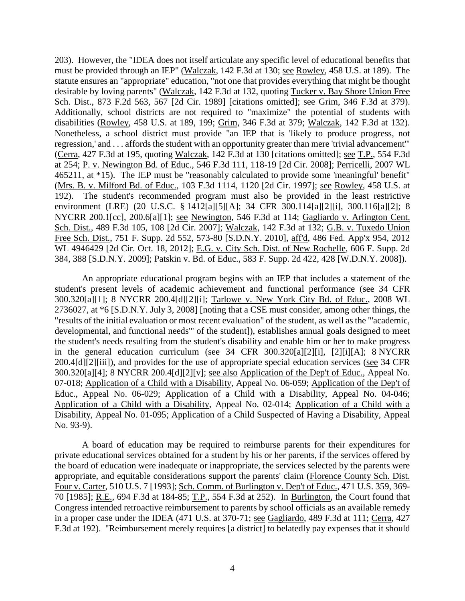203). However, the "IDEA does not itself articulate any specific level of educational benefits that must be provided through an IEP" (Walczak, 142 F.3d at 130; see Rowley, 458 U.S. at 189). The statute ensures an "appropriate" education, "not one that provides everything that might be thought desirable by loving parents" (Walczak, 142 F.3d at 132, quoting Tucker v. Bay Shore Union Free Sch. Dist., 873 F.2d 563, 567 [2d Cir. 1989] [citations omitted]; see Grim, 346 F.3d at 379). Additionally, school districts are not required to "maximize" the potential of students with disabilities (Rowley, 458 U.S. at 189, 199; Grim, 346 F.3d at 379; Walczak, 142 F.3d at 132). Nonetheless, a school district must provide "an IEP that is 'likely to produce progress, not regression,' and . . . affords the student with an opportunity greater than mere 'trivial advancement'" (Cerra, 427 F.3d at 195, quoting Walczak, 142 F.3d at 130 [citations omitted]; see T.P., 554 F.3d at 254; P. v. Newington Bd. of Educ., 546 F.3d 111, 118-19 [2d Cir. 2008]; Perricelli, 2007 WL 465211, at \*15). The IEP must be "reasonably calculated to provide some 'meaningful' benefit" (Mrs. B. v. Milford Bd. of Educ., 103 F.3d 1114, 1120 [2d Cir. 1997]; see Rowley, 458 U.S. at 192). The student's recommended program must also be provided in the least restrictive environment (LRE) (20 U.S.C. § 1412[a][5][A]; 34 CFR 300.114[a][2][i], 300.116[a][2]; 8 NYCRR 200.1[cc], 200.6[a][1]; see Newington, 546 F.3d at 114; Gagliardo v. Arlington Cent. Sch. Dist., 489 F.3d 105, 108 [2d Cir. 2007]; Walczak, 142 F.3d at 132; G.B. v. Tuxedo Union Free Sch. Dist., 751 F. Supp. 2d 552, 573-80 [S.D.N.Y. 2010], aff'd, 486 Fed. App'x 954, 2012 WL 4946429 [2d Cir. Oct. 18, 2012]; E.G. v. City Sch. Dist. of New Rochelle, 606 F. Supp. 2d 384, 388 [S.D.N.Y. 2009]; Patskin v. Bd. of Educ., 583 F. Supp. 2d 422, 428 [W.D.N.Y. 2008]).

An appropriate educational program begins with an IEP that includes a statement of the student's present levels of academic achievement and functional performance (see 34 CFR 300.320[a][1]; 8 NYCRR 200.4[d][2][i]; Tarlowe v. New York City Bd. of Educ., 2008 WL 2736027, at \*6 [S.D.N.Y. July 3, 2008] [noting that a CSE must consider, among other things, the "results of the initial evaluation or most recent evaluation" of the student, as well as the "'academic, developmental, and functional needs'" of the student]), establishes annual goals designed to meet the student's needs resulting from the student's disability and enable him or her to make progress in the general education curriculum (see 34 CFR 300.320[a][2][i], [2][i][A]; 8 NYCRR 200.4[d][2][iii]), and provides for the use of appropriate special education services (see 34 CFR 300.320[a][4]; 8 NYCRR 200.4[d][2][v]; see also Application of the Dep't of Educ., Appeal No. 07-018; Application of a Child with a Disability, Appeal No. 06-059; Application of the Dep't of Educ., Appeal No. 06-029; Application of a Child with a Disability, Appeal No. 04-046; Application of a Child with a Disability, Appeal No. 02-014; Application of a Child with a Disability, Appeal No. 01-095; Application of a Child Suspected of Having a Disability, Appeal No. 93-9).

A board of education may be required to reimburse parents for their expenditures for private educational services obtained for a student by his or her parents, if the services offered by the board of education were inadequate or inappropriate, the services selected by the parents were appropriate, and equitable considerations support the parents' claim (Florence County Sch. Dist. Four v. Carter, 510 U.S. 7 [1993]; Sch. Comm. of Burlington v. Dep't of Educ., 471 U.S. 359, 369- 70 [1985]; R.E., 694 F.3d at 184-85; T.P., 554 F.3d at 252). In Burlington, the Court found that Congress intended retroactive reimbursement to parents by school officials as an available remedy in a proper case under the IDEA (471 U.S. at 370-71; see Gagliardo, 489 F.3d at 111; Cerra, 427 F.3d at 192). "Reimbursement merely requires [a district] to belatedly pay expenses that it should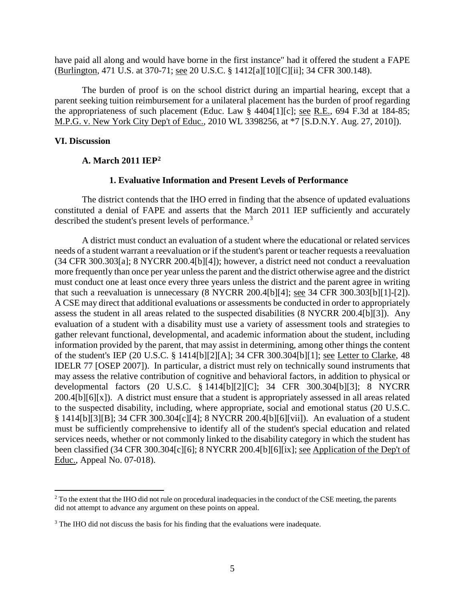have paid all along and would have borne in the first instance" had it offered the student a FAPE (Burlington, 471 U.S. at 370-71; see 20 U.S.C. § 1412[a][10][C][ii]; 34 CFR 300.148).

The burden of proof is on the school district during an impartial hearing, except that a parent seeking tuition reimbursement for a unilateral placement has the burden of proof regarding the appropriateness of such placement (Educ. Law § 4404[1][c]; see R.E., 694 F.3d at 184-85; M.P.G. v. New York City Dep't of Educ., 2010 WL 3398256, at \*7 [S.D.N.Y. Aug. 27, 2010]).

#### **VI. Discussion**

#### **A. March 2011 IEP2**

### **1. Evaluative Information and Present Levels of Performance**

The district contends that the IHO erred in finding that the absence of updated evaluations constituted a denial of FAPE and asserts that the March 2011 IEP sufficiently and accurately described the student's present levels of performance.<sup>3</sup>

A district must conduct an evaluation of a student where the educational or related services needs of a student warrant a reevaluation or if the student's parent or teacher requests a reevaluation (34 CFR 300.303[a]; 8 NYCRR 200.4[b][4]); however, a district need not conduct a reevaluation more frequently than once per year unless the parent and the district otherwise agree and the district must conduct one at least once every three years unless the district and the parent agree in writing that such a reevaluation is unnecessary (8 NYCRR 200.4[b][4]; see 34 CFR 300.303[b][1]-[2]). A CSE may direct that additional evaluations or assessments be conducted in order to appropriately assess the student in all areas related to the suspected disabilities (8 NYCRR 200.4[b][3]). Any evaluation of a student with a disability must use a variety of assessment tools and strategies to gather relevant functional, developmental, and academic information about the student, including information provided by the parent, that may assist in determining, among other things the content of the student's IEP (20 U.S.C. § 1414[b][2][A]; 34 CFR 300.304[b][1]; see Letter to Clarke, 48 IDELR 77 [OSEP 2007]). In particular, a district must rely on technically sound instruments that may assess the relative contribution of cognitive and behavioral factors, in addition to physical or developmental factors (20 U.S.C. § 1414[b][2][C]; 34 CFR 300.304[b][3]; 8 NYCRR 200.4[b][6][x]). A district must ensure that a student is appropriately assessed in all areas related to the suspected disability, including, where appropriate, social and emotional status (20 U.S.C. § 1414[b][3][B]; 34 CFR 300.304[c][4]; 8 NYCRR 200.4[b][6][vii]). An evaluation of a student must be sufficiently comprehensive to identify all of the student's special education and related services needs, whether or not commonly linked to the disability category in which the student has been classified (34 CFR 300.304[c][6]; 8 NYCRR 200.4[b][6][ix]; see Application of the Dep't of Educ., Appeal No. 07-018).

<sup>&</sup>lt;sup>2</sup> To the extent that the IHO did not rule on procedural inadequacies in the conduct of the CSE meeting, the parents did not attempt to advance any argument on these points on appeal.

<sup>&</sup>lt;sup>3</sup> The IHO did not discuss the basis for his finding that the evaluations were inadequate.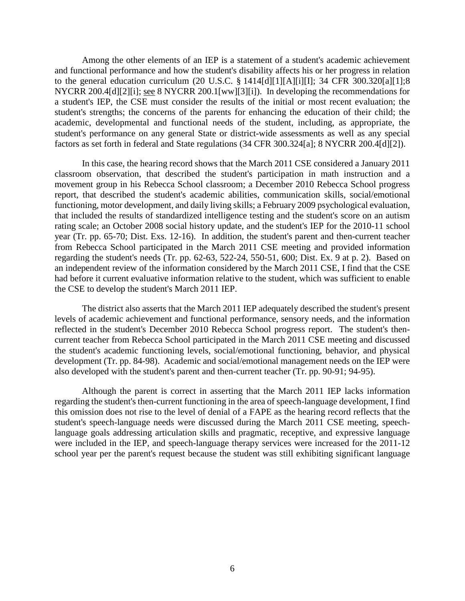Among the other elements of an IEP is a statement of a student's academic achievement and functional performance and how the student's disability affects his or her progress in relation to the general education curriculum (20 U.S.C. § 1414[d][1][A][i][I]; 34 CFR 300.320[a][1];8 NYCRR 200.4[d][2][i]; see 8 NYCRR 200.1[ww][3][i]). In developing the recommendations for a student's IEP, the CSE must consider the results of the initial or most recent evaluation; the student's strengths; the concerns of the parents for enhancing the education of their child; the academic, developmental and functional needs of the student, including, as appropriate, the student's performance on any general State or district-wide assessments as well as any special factors as set forth in federal and State regulations (34 CFR 300.324[a]; 8 NYCRR 200.4[d][2]).

In this case, the hearing record shows that the March 2011 CSE considered a January 2011 classroom observation, that described the student's participation in math instruction and a movement group in his Rebecca School classroom; a December 2010 Rebecca School progress report, that described the student's academic abilities, communication skills, social/emotional functioning, motor development, and daily living skills; a February 2009 psychological evaluation, that included the results of standardized intelligence testing and the student's score on an autism rating scale; an October 2008 social history update, and the student's IEP for the 2010-11 school year (Tr. pp. 65-70; Dist. Exs. 12-16). In addition, the student's parent and then-current teacher from Rebecca School participated in the March 2011 CSE meeting and provided information regarding the student's needs (Tr. pp. 62-63, 522-24, 550-51, 600; Dist. Ex. 9 at p. 2). Based on an independent review of the information considered by the March 2011 CSE, I find that the CSE had before it current evaluative information relative to the student, which was sufficient to enable the CSE to develop the student's March 2011 IEP.

The district also asserts that the March 2011 IEP adequately described the student's present levels of academic achievement and functional performance, sensory needs, and the information reflected in the student's December 2010 Rebecca School progress report. The student's thencurrent teacher from Rebecca School participated in the March 2011 CSE meeting and discussed the student's academic functioning levels, social/emotional functioning, behavior, and physical development (Tr. pp. 84-98). Academic and social/emotional management needs on the IEP were also developed with the student's parent and then-current teacher (Tr. pp. 90-91; 94-95).

Although the parent is correct in asserting that the March 2011 IEP lacks information regarding the student's then-current functioning in the area of speech-language development, I find this omission does not rise to the level of denial of a FAPE as the hearing record reflects that the student's speech-language needs were discussed during the March 2011 CSE meeting, speechlanguage goals addressing articulation skills and pragmatic, receptive, and expressive language were included in the IEP, and speech-language therapy services were increased for the 2011-12 school year per the parent's request because the student was still exhibiting significant language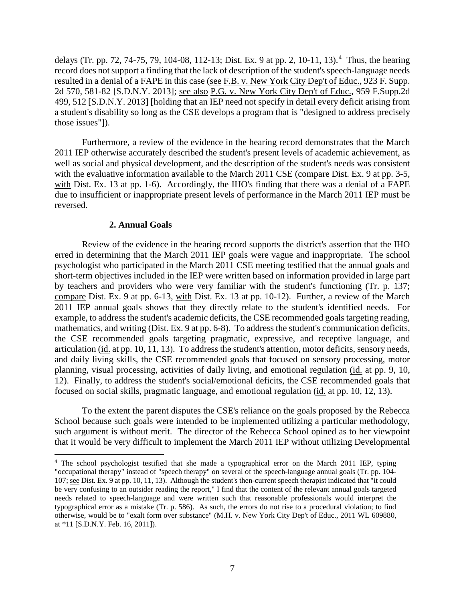delays (Tr. pp. 72, 74-75, 79, 104-08, 112-13; Dist. Ex. 9 at pp. 2, 10-11, 13). 4 Thus, the hearing record does not support a finding that the lack of description of the student's speech-language needs resulted in a denial of a FAPE in this case (see F.B. v. New York City Dep't of Educ., 923 F. Supp. 2d 570, 581-82 [S.D.N.Y. 2013]; see also P.G. v. New York City Dep't of Educ., 959 F.Supp.2d 499, 512 [S.D.N.Y. 2013] [holding that an IEP need not specify in detail every deficit arising from a student's disability so long as the CSE develops a program that is "designed to address precisely those issues"]).

Furthermore, a review of the evidence in the hearing record demonstrates that the March 2011 IEP otherwise accurately described the student's present levels of academic achievement, as well as social and physical development, and the description of the student's needs was consistent with the evaluative information available to the March 2011 CSE (compare Dist. Ex. 9 at pp. 3-5, with Dist. Ex. 13 at pp. 1-6). Accordingly, the IHO's finding that there was a denial of a FAPE due to insufficient or inappropriate present levels of performance in the March 2011 IEP must be reversed.

#### **2. Annual Goals**

Review of the evidence in the hearing record supports the district's assertion that the IHO erred in determining that the March 2011 IEP goals were vague and inappropriate. The school psychologist who participated in the March 2011 CSE meeting testified that the annual goals and short-term objectives included in the IEP were written based on information provided in large part by teachers and providers who were very familiar with the student's functioning (Tr. p. 137; compare Dist. Ex. 9 at pp. 6-13, with Dist. Ex. 13 at pp. 10-12). Further, a review of the March 2011 IEP annual goals shows that they directly relate to the student's identified needs. For example, to address the student's academic deficits, the CSE recommended goals targeting reading, mathematics, and writing (Dist. Ex. 9 at pp. 6-8). To address the student's communication deficits, the CSE recommended goals targeting pragmatic, expressive, and receptive language, and articulation (id. at pp. 10, 11, 13). To address the student's attention, motor deficits, sensory needs, and daily living skills, the CSE recommended goals that focused on sensory processing, motor planning, visual processing, activities of daily living, and emotional regulation (id. at pp. 9, 10, 12). Finally, to address the student's social/emotional deficits, the CSE recommended goals that focused on social skills, pragmatic language, and emotional regulation (id. at pp. 10, 12, 13).

To the extent the parent disputes the CSE's reliance on the goals proposed by the Rebecca School because such goals were intended to be implemented utilizing a particular methodology, such argument is without merit. The director of the Rebecca School opined as to her viewpoint that it would be very difficult to implement the March 2011 IEP without utilizing Developmental

 <sup>4</sup> The school psychologist testified that she made a typographical error on the March 2011 IEP, typing "occupational therapy" instead of "speech therapy" on several of the speech-language annual goals (Tr. pp. 104- 107; see Dist. Ex. 9 at pp. 10, 11, 13). Although the student's then-current speech therapist indicated that "it could be very confusing to an outsider reading the report," I find that the content of the relevant annual goals targeted needs related to speech-language and were written such that reasonable professionals would interpret the typographical error as a mistake (Tr. p. 586). As such, the errors do not rise to a procedural violation; to find otherwise, would be to "exalt form over substance" (M.H. v. New York City Dep't of Educ., 2011 WL 609880, at \*11 [S.D.N.Y. Feb. 16, 2011]).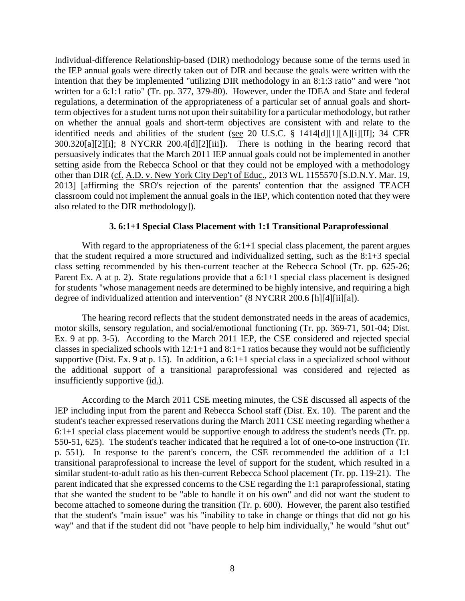Individual-difference Relationship-based (DIR) methodology because some of the terms used in the IEP annual goals were directly taken out of DIR and because the goals were written with the intention that they be implemented "utilizing DIR methodology in an 8:1:3 ratio" and were "not written for a 6:1:1 ratio" (Tr. pp. 377, 379-80). However, under the IDEA and State and federal regulations, a determination of the appropriateness of a particular set of annual goals and shortterm objectives for a student turns not upon their suitability for a particular methodology, but rather on whether the annual goals and short-term objectives are consistent with and relate to the identified needs and abilities of the student (see 20 U.S.C. § 1414[d][1][A][i][II]; 34 CFR 300.320[a][2][i]; 8 NYCRR 200.4[d][2][iii]). There is nothing in the hearing record that persuasively indicates that the March 2011 IEP annual goals could not be implemented in another setting aside from the Rebecca School or that they could not be employed with a methodology other than DIR (cf. A.D. v. New York City Dep't of Educ., 2013 WL 1155570 [S.D.N.Y. Mar. 19, 2013] [affirming the SRO's rejection of the parents' contention that the assigned TEACH classroom could not implement the annual goals in the IEP, which contention noted that they were also related to the DIR methodology]).

#### **3. 6:1+1 Special Class Placement with 1:1 Transitional Paraprofessional**

With regard to the appropriateness of the 6:1+1 special class placement, the parent argues that the student required a more structured and individualized setting, such as the 8:1+3 special class setting recommended by his then-current teacher at the Rebecca School (Tr. pp. 625-26; Parent Ex. A at p. 2). State regulations provide that a 6:1+1 special class placement is designed for students "whose management needs are determined to be highly intensive, and requiring a high degree of individualized attention and intervention" (8 NYCRR 200.6 [h][4][ii][a]).

The hearing record reflects that the student demonstrated needs in the areas of academics, motor skills, sensory regulation, and social/emotional functioning (Tr. pp. 369-71, 501-04; Dist. Ex. 9 at pp. 3-5). According to the March 2011 IEP, the CSE considered and rejected special classes in specialized schools with  $12:1+1$  and  $8:1+1$  ratios because they would not be sufficiently supportive (Dist. Ex. 9 at p. 15). In addition, a 6:1+1 special class in a specialized school without the additional support of a transitional paraprofessional was considered and rejected as insufficiently supportive (id.).

According to the March 2011 CSE meeting minutes, the CSE discussed all aspects of the IEP including input from the parent and Rebecca School staff (Dist. Ex. 10). The parent and the student's teacher expressed reservations during the March 2011 CSE meeting regarding whether a 6:1+1 special class placement would be supportive enough to address the student's needs (Tr. pp. 550-51, 625). The student's teacher indicated that he required a lot of one-to-one instruction (Tr. p. 551). In response to the parent's concern, the CSE recommended the addition of a 1:1 transitional paraprofessional to increase the level of support for the student, which resulted in a similar student-to-adult ratio as his then-current Rebecca School placement (Tr. pp. 119-21). The parent indicated that she expressed concerns to the CSE regarding the 1:1 paraprofessional, stating that she wanted the student to be "able to handle it on his own" and did not want the student to become attached to someone during the transition (Tr. p. 600). However, the parent also testified that the student's "main issue" was his "inability to take in change or things that did not go his way" and that if the student did not "have people to help him individually," he would "shut out"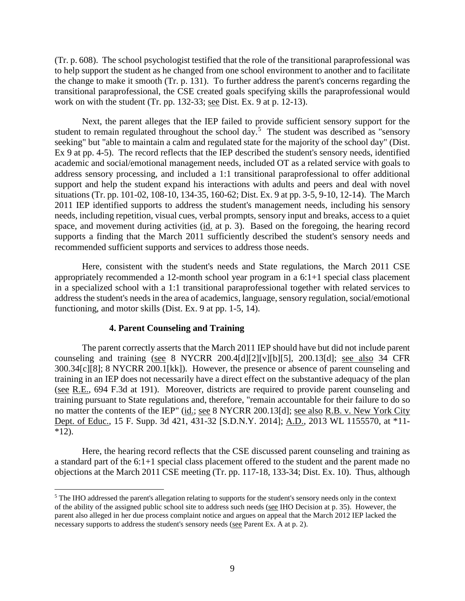(Tr. p. 608). The school psychologist testified that the role of the transitional paraprofessional was to help support the student as he changed from one school environment to another and to facilitate the change to make it smooth (Tr. p. 131). To further address the parent's concerns regarding the transitional paraprofessional, the CSE created goals specifying skills the paraprofessional would work on with the student (Tr. pp. 132-33; see Dist. Ex. 9 at p. 12-13).

Next, the parent alleges that the IEP failed to provide sufficient sensory support for the student to remain regulated throughout the school day.<sup>5</sup> The student was described as "sensory seeking" but "able to maintain a calm and regulated state for the majority of the school day" (Dist. Ex 9 at pp. 4-5). The record reflects that the IEP described the student's sensory needs, identified academic and social/emotional management needs, included OT as a related service with goals to address sensory processing, and included a 1:1 transitional paraprofessional to offer additional support and help the student expand his interactions with adults and peers and deal with novel situations (Tr. pp. 101-02, 108-10, 134-35, 160-62; Dist. Ex. 9 at pp. 3-5, 9-10, 12-14). The March 2011 IEP identified supports to address the student's management needs, including his sensory needs, including repetition, visual cues, verbal prompts, sensory input and breaks, access to a quiet space, and movement during activities (id. at p. 3). Based on the foregoing, the hearing record supports a finding that the March 2011 sufficiently described the student's sensory needs and recommended sufficient supports and services to address those needs.

Here, consistent with the student's needs and State regulations, the March 2011 CSE appropriately recommended a 12-month school year program in a 6:1+1 special class placement in a specialized school with a 1:1 transitional paraprofessional together with related services to address the student's needs in the area of academics, language, sensory regulation, social/emotional functioning, and motor skills (Dist. Ex. 9 at pp. 1-5, 14).

#### **4. Parent Counseling and Training**

The parent correctly asserts that the March 2011 IEP should have but did not include parent counseling and training (see 8 NYCRR 200.4[d][2][v][b][5], 200.13[d]; see also 34 CFR 300.34[c][8]; 8 NYCRR 200.1[kk]). However, the presence or absence of parent counseling and training in an IEP does not necessarily have a direct effect on the substantive adequacy of the plan (see R.E., 694 F.3d at 191). Moreover, districts are required to provide parent counseling and training pursuant to State regulations and, therefore, "remain accountable for their failure to do so no matter the contents of the IEP" (id.; see 8 NYCRR 200.13[d]; see also R.B. v. New York City Dept. of Educ., 15 F. Supp. 3d 421, 431-32 [S.D.N.Y. 2014]; A.D., 2013 WL 1155570, at \*11-  $*12$ ).

Here, the hearing record reflects that the CSE discussed parent counseling and training as a standard part of the 6:1+1 special class placement offered to the student and the parent made no objections at the March 2011 CSE meeting (Tr. pp. 117-18, 133-34; Dist. Ex. 10). Thus, although

 <sup>5</sup> The IHO addressed the parent's allegation relating to supports for the student's sensory needs only in the context of the ability of the assigned public school site to address such needs (see IHO Decision at p. 35). However, the parent also alleged in her due process complaint notice and argues on appeal that the March 2012 IEP lacked the necessary supports to address the student's sensory needs (see Parent Ex. A at p. 2).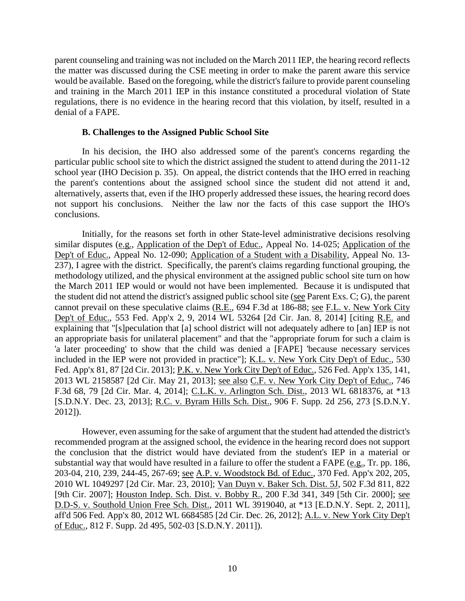parent counseling and training was not included on the March 2011 IEP, the hearing record reflects the matter was discussed during the CSE meeting in order to make the parent aware this service would be available. Based on the foregoing, while the district's failure to provide parent counseling and training in the March 2011 IEP in this instance constituted a procedural violation of State regulations, there is no evidence in the hearing record that this violation, by itself, resulted in a denial of a FAPE.

#### **B. Challenges to the Assigned Public School Site**

In his decision, the IHO also addressed some of the parent's concerns regarding the particular public school site to which the district assigned the student to attend during the 2011-12 school year (IHO Decision p. 35). On appeal, the district contends that the IHO erred in reaching the parent's contentions about the assigned school since the student did not attend it and, alternatively, asserts that, even if the IHO properly addressed these issues, the hearing record does not support his conclusions. Neither the law nor the facts of this case support the IHO's conclusions.

Initially, for the reasons set forth in other State-level administrative decisions resolving similar disputes (e.g., Application of the Dep't of Educ., Appeal No. 14-025; Application of the Dep't of Educ., Appeal No. 12-090; Application of a Student with a Disability, Appeal No. 13- 237), I agree with the district. Specifically, the parent's claims regarding functional grouping, the methodology utilized, and the physical environment at the assigned public school site turn on how the March 2011 IEP would or would not have been implemented. Because it is undisputed that the student did not attend the district's assigned public school site (see Parent Exs. C; G), the parent cannot prevail on these speculative claims (R.E., 694 F.3d at 186-88; see F.L. v. New York City Dep't of Educ., 553 Fed. App'x 2, 9, 2014 WL 53264 [2d Cir. Jan. 8, 2014] [citing R.E. and explaining that "[s]peculation that [a] school district will not adequately adhere to [an] IEP is not an appropriate basis for unilateral placement" and that the "appropriate forum for such a claim is 'a later proceeding' to show that the child was denied a [FAPE] 'because necessary services included in the IEP were not provided in practice"]; K.L. v. New York City Dep't of Educ., 530 Fed. App'x 81, 87 [2d Cir. 2013]; P.K. v. New York City Dep't of Educ., 526 Fed. App'x 135, 141, 2013 WL 2158587 [2d Cir. May 21, 2013]; see also C.F. v. New York City Dep't of Educ., 746 F.3d 68, 79 [2d Cir. Mar. 4, 2014]; C.L.K. v. Arlington Sch. Dist., 2013 WL 6818376, at \*13 [S.D.N.Y. Dec. 23, 2013]; R.C. v. Byram Hills Sch. Dist., 906 F. Supp. 2d 256, 273 [S.D.N.Y. 2012]).

However, even assuming for the sake of argument that the student had attended the district's recommended program at the assigned school, the evidence in the hearing record does not support the conclusion that the district would have deviated from the student's IEP in a material or substantial way that would have resulted in a failure to offer the student a FAPE ( $e.g.,$  Tr. pp. 186, 203-04, 210, 239, 244-45, 267-69; see A.P. v. Woodstock Bd. of Educ., 370 Fed. App'x 202, 205, 2010 WL 1049297 [2d Cir. Mar. 23, 2010]; Van Duyn v. Baker Sch. Dist. 5J, 502 F.3d 811, 822 [9th Cir. 2007]; Houston Indep. Sch. Dist. v. Bobby R., 200 F.3d 341, 349 [5th Cir. 2000]; see D.D-S. v. Southold Union Free Sch. Dist., 2011 WL 3919040, at \*13 [E.D.N.Y. Sept. 2, 2011], aff'd 506 Fed. App'x 80, 2012 WL 6684585 [2d Cir. Dec. 26, 2012]; A.L. v. New York City Dep't of Educ., 812 F. Supp. 2d 495, 502-03 [S.D.N.Y. 2011]).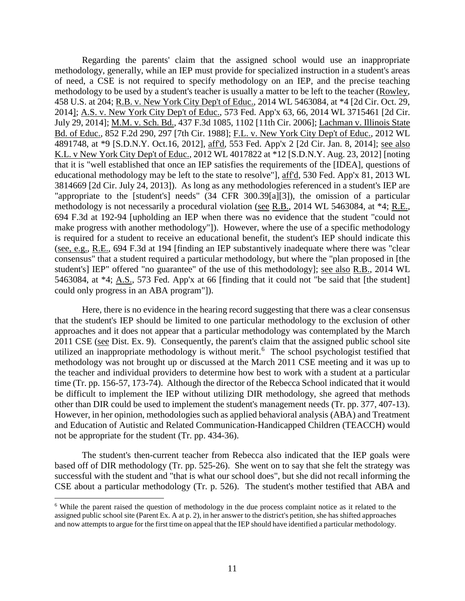Regarding the parents' claim that the assigned school would use an inappropriate methodology, generally, while an IEP must provide for specialized instruction in a student's areas of need, a CSE is not required to specify methodology on an IEP, and the precise teaching methodology to be used by a student's teacher is usually a matter to be left to the teacher (Rowley, 458 U.S. at 204; R.B. v. New York City Dep't of Educ., 2014 WL 5463084, at \*4 [2d Cir. Oct. 29, 2014]; A.S. v. New York City Dep't of Educ., 573 Fed. App'x 63, 66, 2014 WL 3715461 [2d Cir. July 29, 2014]; M.M. v. Sch. Bd., 437 F.3d 1085, 1102 [11th Cir. 2006]; Lachman v. Illinois State Bd. of Educ., 852 F.2d 290, 297 [7th Cir. 1988]; F.L. v. New York City Dep't of Educ., 2012 WL 4891748, at \*9 [S.D.N.Y. Oct.16, 2012], aff'd, 553 Fed. App'x 2 [2d Cir. Jan. 8, 2014]; see also K.L. v New York City Dep't of Educ., 2012 WL 4017822 at \*12 [S.D.N.Y. Aug. 23, 2012] [noting that it is "well established that once an IEP satisfies the requirements of the [IDEA], questions of educational methodology may be left to the state to resolve"], aff'd, 530 Fed. App'x 81, 2013 WL 3814669 [2d Cir. July 24, 2013]). As long as any methodologies referenced in a student's IEP are "appropriate to the [student's] needs" (34 CFR 300.39[a][3]), the omission of a particular methodology is not necessarily a procedural violation (see R.B., 2014 WL 5463084, at \*4; R.E., 694 F.3d at 192-94 [upholding an IEP when there was no evidence that the student "could not make progress with another methodology"]). However, where the use of a specific methodology is required for a student to receive an educational benefit, the student's IEP should indicate this (see, e.g., R.E., 694 F.3d at 194 [finding an IEP substantively inadequate where there was "clear consensus" that a student required a particular methodology, but where the "plan proposed in [the student's] IEP" offered "no guarantee" of the use of this methodology]; see also R.B., 2014 WL 5463084, at \*4; A.S., 573 Fed. App'x at 66 [finding that it could not "be said that [the student] could only progress in an ABA program"]).

Here, there is no evidence in the hearing record suggesting that there was a clear consensus that the student's IEP should be limited to one particular methodology to the exclusion of other approaches and it does not appear that a particular methodology was contemplated by the March 2011 CSE (see Dist. Ex. 9). Consequently, the parent's claim that the assigned public school site utilized an inappropriate methodology is without merit.<sup>6</sup> The school psychologist testified that methodology was not brought up or discussed at the March 2011 CSE meeting and it was up to the teacher and individual providers to determine how best to work with a student at a particular time (Tr. pp. 156-57, 173-74). Although the director of the Rebecca School indicated that it would be difficult to implement the IEP without utilizing DIR methodology, she agreed that methods other than DIR could be used to implement the student's management needs (Tr. pp. 377, 407-13). However, in her opinion, methodologies such as applied behavioral analysis (ABA) and Treatment and Education of Autistic and Related Communication-Handicapped Children (TEACCH) would not be appropriate for the student (Tr. pp. 434-36).

The student's then-current teacher from Rebecca also indicated that the IEP goals were based off of DIR methodology (Tr. pp. 525-26). She went on to say that she felt the strategy was successful with the student and "that is what our school does", but she did not recall informing the CSE about a particular methodology (Tr. p. 526). The student's mother testified that ABA and

<sup>&</sup>lt;sup>6</sup> While the parent raised the question of methodology in the due process complaint notice as it related to the assigned public school site (Parent Ex. A at p. 2), in her answer to the district's petition, she has shifted approaches and now attempts to argue for the first time on appeal that the IEP should have identified a particular methodology.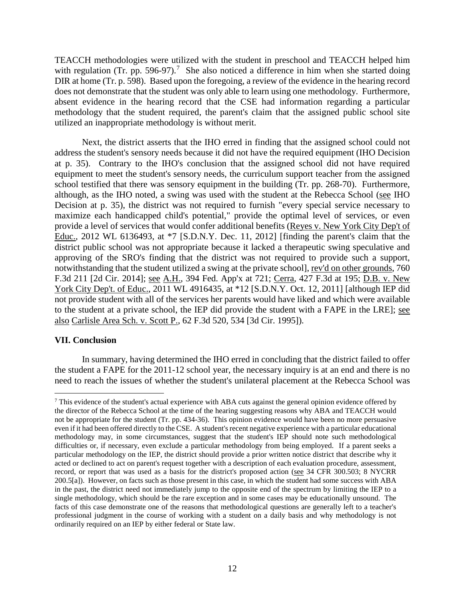TEACCH methodologies were utilized with the student in preschool and TEACCH helped him with regulation (Tr. pp. 596-97).<sup>7</sup> She also noticed a difference in him when she started doing DIR at home (Tr. p. 598). Based upon the foregoing, a review of the evidence in the hearing record does not demonstrate that the student was only able to learn using one methodology. Furthermore, absent evidence in the hearing record that the CSE had information regarding a particular methodology that the student required, the parent's claim that the assigned public school site utilized an inappropriate methodology is without merit.

Next, the district asserts that the IHO erred in finding that the assigned school could not address the student's sensory needs because it did not have the required equipment (IHO Decision at p. 35). Contrary to the IHO's conclusion that the assigned school did not have required equipment to meet the student's sensory needs, the curriculum support teacher from the assigned school testified that there was sensory equipment in the building (Tr. pp. 268-70). Furthermore, although, as the IHO noted, a swing was used with the student at the Rebecca School (see IHO Decision at p. 35), the district was not required to furnish "every special service necessary to maximize each handicapped child's potential," provide the optimal level of services, or even provide a level of services that would confer additional benefits (Reyes v. New York City Dep't of Educ., 2012 WL 6136493, at \*7 [S.D.N.Y. Dec. 11, 2012] [finding the parent's claim that the district public school was not appropriate because it lacked a therapeutic swing speculative and approving of the SRO's finding that the district was not required to provide such a support, notwithstanding that the student utilized a swing at the private school], rev'd on other grounds, 760 F.3d 211 [2d Cir. 2014]; see A.H., 394 Fed. App'x at 721; Cerra, 427 F.3d at 195; D.B. v. New York City Dep't. of Educ., 2011 WL 4916435, at \*12 [S.D.N.Y. Oct. 12, 2011] [although IEP did not provide student with all of the services her parents would have liked and which were available to the student at a private school, the IEP did provide the student with a FAPE in the LRE]; see also Carlisle Area Sch. v. Scott P., 62 F.3d 520, 534 [3d Cir. 1995]).

## **VII. Conclusion**

In summary, having determined the IHO erred in concluding that the district failed to offer the student a FAPE for the 2011-12 school year, the necessary inquiry is at an end and there is no need to reach the issues of whether the student's unilateral placement at the Rebecca School was

<sup>&</sup>lt;sup>7</sup> This evidence of the student's actual experience with ABA cuts against the general opinion evidence offered by the director of the Rebecca School at the time of the hearing suggesting reasons why ABA and TEACCH would not be appropriate for the student (Tr. pp. 434-36). This opinion evidence would have been no more persuasive even if it had been offered directly to the CSE. A student's recent negative experience with a particular educational methodology may, in some circumstances, suggest that the student's IEP should note such methodological difficulties or, if necessary, even exclude a particular methodology from being employed. If a parent seeks a particular methodology on the IEP, the district should provide a prior written notice district that describe why it acted or declined to act on parent's request together with a description of each evaluation procedure, assessment, record, or report that was used as a basis for the district's proposed action (see 34 CFR 300.503; 8 NYCRR 200.5[a]). However, on facts such as those present in this case, in which the student had some success with ABA in the past, the district need not immediately jump to the opposite end of the spectrum by limiting the IEP to a single methodology, which should be the rare exception and in some cases may be educationally unsound. The facts of this case demonstrate one of the reasons that methodological questions are generally left to a teacher's professional judgment in the course of working with a student on a daily basis and why methodology is not ordinarily required on an IEP by either federal or State law.